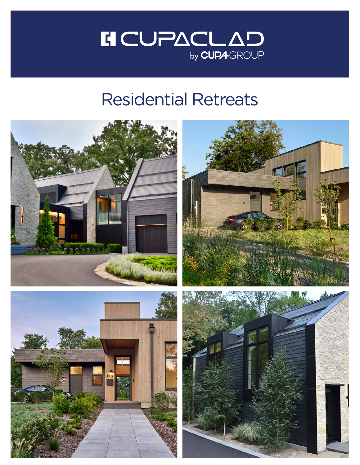

## Residential Retreats

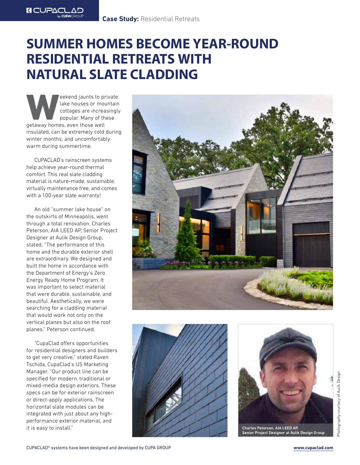## **SUMMER HOMES BECOME YEAR-ROUND RESIDENTIAL RETREATS WITH NATURAL SLATE CLADDING**

Weekend jaunts to private<br>
lake houses or mountain<br>
cottages are increasingly<br>
popular. Many of these<br>
getaway homes, even those well lake houses or mountain cottages are increasingly popular. Many of these insulated, can be extremely cold during winter months, and uncomfortably warm during summertime.

**IN CUPACLAD** 

CUPACLAD's rainscreen systems help achieve year-round thermal comfort. This real slate cladding material is nature-made, sustainable, virtually maintenance free, and comes with a 100-year slate warranty!

An old "summer lake house" on the outskirts of Minneapolis, went through a total renovation. Charles Peterson, AIA LEED AP, Senior Project Designer at Aulik Design Group, stated, "The performance of this home and the durable exterior shell are extraordinary. We designed and built the home in accordance with the Department of Energy's Zero Energy Ready Home Program. It was important to select material that were durable, sustainable, and beautiful. Aesthetically, we were searching for a cladding material that would work not only on the vertical planes but also on the roof planes." Peterson continued.

"CupaClad offers opportunities for residential designers and builders to get very creative," stated Raven Tschida, CupaClad's US Marketing Manager. "Our product line can be specified for modern, traditional or mixed-media design exteriors. These specs can be for exterior rainscreen or direct-apply applications. The horizontal slate modules can be integrated with just about any highperformance exterior material, and it is easy to install."







Senior Project Designer at Aulik Design Group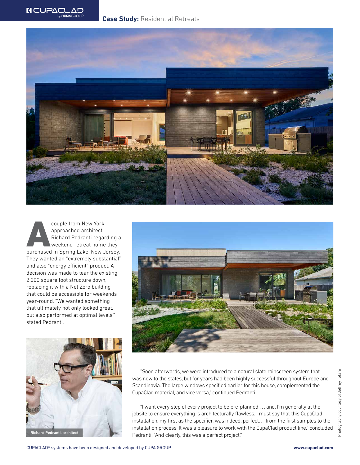



couple from New York<br>
approached architect<br>
Richard Pedranti regarding a<br>
weekend retreat home they<br>
purchased in Spring Lake, New Jersey. approached architect Richard Pedranti regarding a weekend retreat home they They wanted an "extremely substantial" and also "energy efficient" product. A decision was made to tear the existing 2,000 square foot structure down, replacing it with a Net Zero building that could be accessible for weekends year-round. "We wanted something that ultimately not only looked great, but also performed at optimal levels," stated Pedranti.





"Soon afterwards, we were introduced to a natural slate rainscreen system that was new to the states, but for years had been highly successful throughout Europe and Scandinavia. The large windows specified earlier for this house, complemented the CupaClad material, and vice versa," continued Pedranti.

"I want every step of every project to be pre-planned . . . and, I'm generally at the jobsite to ensure everything is architecturally flawless. I must say that this CupaClad installation, my first as the specifier, was indeed, perfect. . . from the first samples to the installation process. It was a pleasure to work with the CupaClad product line," concluded Richard Pedranti, architect Pedranti. "And clearly, this was a perfect project."